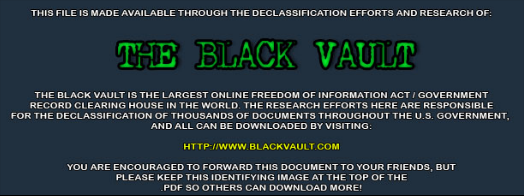THIS FILE IS MADE AVAILABLE THROUGH THE DECLASSIFICATION EFFORTS AND RESEARCH OF:



THE BLACK VAULT IS THE LARGEST ONLINE FREEDOM OF INFORMATION ACT / GOVERNMENT RECORD CLEARING HOUSE IN THE WORLD. THE RESEARCH EFFORTS HERE ARE RESPONSIBLE FOR THE DECLASSIFICATION OF THOUSANDS OF DOCUMENTS THROUGHOUT THE U.S. GOVERNMENT, AND ALL CAN BE DOWNLOADED BY VISITING:

**HTTP://WWW.BLACKVAULT.COM** 

YOU ARE ENCOURAGED TO FORWARD THIS DOCUMENT TO YOUR FRIENDS, BUT PLEASE KEEP THIS IDENTIFYING IMAGE AT THE TOP OF THE PDF SO OTHERS CAN DOWNLOAD MORE!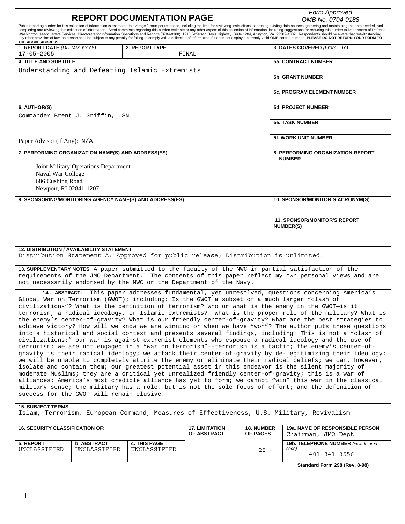| <b>REPORT DOCUMENTATION PAGE</b>                                                                                                                                                                                                                                                                                                                                                                                                                         |                                                    |                                                |                                      |                                      | Form Approved                                                                                                                                                                                                               |  |
|----------------------------------------------------------------------------------------------------------------------------------------------------------------------------------------------------------------------------------------------------------------------------------------------------------------------------------------------------------------------------------------------------------------------------------------------------------|----------------------------------------------------|------------------------------------------------|--------------------------------------|--------------------------------------|-----------------------------------------------------------------------------------------------------------------------------------------------------------------------------------------------------------------------------|--|
| Public reporting burden for this collection of information is estimated to average 1 hour per response, including the time for reviewing instructions, searching existing data sources, gathering and maintaining the data nee                                                                                                                                                                                                                           |                                                    |                                                |                                      |                                      | OMB No. 0704-0188                                                                                                                                                                                                           |  |
| completing and reviewing this collection of information. Send comments regarding this burden estimate or any other aspect of this collection of information, including suggestions for reducing this burden to Department of D<br>Washington Headquarters Services, Directorate for Information Operations and Reports (0704-0188), 1215 Jefferson Davis Highway, Suite 1204, Arlington, VA 22202-4302. Respondents should be aware that notwithstanding |                                                    |                                                |                                      |                                      |                                                                                                                                                                                                                             |  |
| THE ABOVE ADDRESS.                                                                                                                                                                                                                                                                                                                                                                                                                                       |                                                    |                                                |                                      |                                      | any other provision of law, no person shall be subject to any penalty for failing to comply with a collection of information if it does not display a currently valid OMB control number. PLEASE DO NOT RETURN YOUR FORM TO |  |
| 1. REPORT DATE (DD-MM-YYYY)<br>$17 - 05 - 2005$                                                                                                                                                                                                                                                                                                                                                                                                          |                                                    | 2. REPORT TYPE                                 | FINAL                                |                                      | 3. DATES COVERED (From - To)                                                                                                                                                                                                |  |
| <b>4. TITLE AND SUBTITLE</b>                                                                                                                                                                                                                                                                                                                                                                                                                             |                                                    |                                                |                                      |                                      | <b>5a. CONTRACT NUMBER</b>                                                                                                                                                                                                  |  |
|                                                                                                                                                                                                                                                                                                                                                                                                                                                          |                                                    | Understanding and Defeating Islamic Extremists |                                      |                                      |                                                                                                                                                                                                                             |  |
|                                                                                                                                                                                                                                                                                                                                                                                                                                                          |                                                    |                                                |                                      |                                      | <b>5b. GRANT NUMBER</b>                                                                                                                                                                                                     |  |
|                                                                                                                                                                                                                                                                                                                                                                                                                                                          |                                                    |                                                |                                      |                                      | <b>5c. PROGRAM ELEMENT NUMBER</b>                                                                                                                                                                                           |  |
| 6. AUTHOR(S)                                                                                                                                                                                                                                                                                                                                                                                                                                             |                                                    |                                                |                                      |                                      | <b>5d. PROJECT NUMBER</b>                                                                                                                                                                                                   |  |
|                                                                                                                                                                                                                                                                                                                                                                                                                                                          | Commander Brent J. Griffin, USN                    |                                                |                                      |                                      | <b>5e. TASK NUMBER</b>                                                                                                                                                                                                      |  |
| Paper Advisor (if Any): N/A                                                                                                                                                                                                                                                                                                                                                                                                                              |                                                    |                                                |                                      |                                      | <b>5f. WORK UNIT NUMBER</b>                                                                                                                                                                                                 |  |
|                                                                                                                                                                                                                                                                                                                                                                                                                                                          |                                                    |                                                |                                      |                                      |                                                                                                                                                                                                                             |  |
|                                                                                                                                                                                                                                                                                                                                                                                                                                                          | 7. PERFORMING ORGANIZATION NAME(S) AND ADDRESS(ES) |                                                |                                      |                                      | <b>8. PERFORMING ORGANIZATION REPORT</b><br><b>NUMBER</b>                                                                                                                                                                   |  |
| Joint Military Operations Department                                                                                                                                                                                                                                                                                                                                                                                                                     |                                                    |                                                |                                      |                                      |                                                                                                                                                                                                                             |  |
| Naval War College                                                                                                                                                                                                                                                                                                                                                                                                                                        |                                                    |                                                |                                      |                                      |                                                                                                                                                                                                                             |  |
| 686 Cushing Road                                                                                                                                                                                                                                                                                                                                                                                                                                         |                                                    |                                                |                                      |                                      |                                                                                                                                                                                                                             |  |
| Newport, RI 02841-1207                                                                                                                                                                                                                                                                                                                                                                                                                                   |                                                    |                                                |                                      |                                      |                                                                                                                                                                                                                             |  |
| 9. SPONSORING/MONITORING AGENCY NAME(S) AND ADDRESS(ES)                                                                                                                                                                                                                                                                                                                                                                                                  |                                                    |                                                |                                      |                                      | 10. SPONSOR/MONITOR'S ACRONYM(S)                                                                                                                                                                                            |  |
|                                                                                                                                                                                                                                                                                                                                                                                                                                                          |                                                    |                                                |                                      |                                      |                                                                                                                                                                                                                             |  |
|                                                                                                                                                                                                                                                                                                                                                                                                                                                          |                                                    |                                                |                                      |                                      | <b>11. SPONSOR/MONITOR'S REPORT</b>                                                                                                                                                                                         |  |
|                                                                                                                                                                                                                                                                                                                                                                                                                                                          |                                                    |                                                |                                      |                                      | <b>NUMBER(S)</b>                                                                                                                                                                                                            |  |
|                                                                                                                                                                                                                                                                                                                                                                                                                                                          |                                                    |                                                |                                      |                                      |                                                                                                                                                                                                                             |  |
| 12. DISTRIBUTION / AVAILABILITY STATEMENT                                                                                                                                                                                                                                                                                                                                                                                                                |                                                    |                                                |                                      |                                      |                                                                                                                                                                                                                             |  |
| Distribution Statement A: Approved for public release; Distribution is unlimited.                                                                                                                                                                                                                                                                                                                                                                        |                                                    |                                                |                                      |                                      |                                                                                                                                                                                                                             |  |
| 13. SUPPLEMENTARY NOTES A paper submitted to the faculty of the NWC in partial satisfaction of the                                                                                                                                                                                                                                                                                                                                                       |                                                    |                                                |                                      |                                      |                                                                                                                                                                                                                             |  |
| requirements of the JMO Department. The contents of this paper reflect my own personal views and are<br>not necessarily endorsed by the NWC or the Department of the Navy.                                                                                                                                                                                                                                                                               |                                                    |                                                |                                      |                                      |                                                                                                                                                                                                                             |  |
| 14. ABSTRACT: This paper addresses fundamental, yet unresolved, questions concerning America's                                                                                                                                                                                                                                                                                                                                                           |                                                    |                                                |                                      |                                      |                                                                                                                                                                                                                             |  |
| Global War on Terrorism (GWOT); including: Is the GWOT a subset of a much larger "clash of                                                                                                                                                                                                                                                                                                                                                               |                                                    |                                                |                                      |                                      |                                                                                                                                                                                                                             |  |
| civilizations"? What is the definition of terrorism? Who or what is the enemy in the GWOT-is it<br>terrorism, a radical ideology, or Islamic extremists? What is the proper role of the military? What is                                                                                                                                                                                                                                                |                                                    |                                                |                                      |                                      |                                                                                                                                                                                                                             |  |
| the enemy's center-of-gravity? What is our friendly center-of-gravity? What are the best strategies to                                                                                                                                                                                                                                                                                                                                                   |                                                    |                                                |                                      |                                      |                                                                                                                                                                                                                             |  |
| achieve victory? How will we know we are winning or when we have "won"? The author puts these questions                                                                                                                                                                                                                                                                                                                                                  |                                                    |                                                |                                      |                                      |                                                                                                                                                                                                                             |  |
| into a historical and social context and presents several findings, including: This is not a "clash of<br>civilizations;" our war is against extremist elements who espouse a radical ideology and the use of                                                                                                                                                                                                                                            |                                                    |                                                |                                      |                                      |                                                                                                                                                                                                                             |  |
| terrorism; we are not engaged in a "war on terrorism"--terrorism is a tactic; the enemy's center-of-                                                                                                                                                                                                                                                                                                                                                     |                                                    |                                                |                                      |                                      |                                                                                                                                                                                                                             |  |
| gravity is their radical ideology; we attack their center-of-gravity by de-legitimizing their ideology;                                                                                                                                                                                                                                                                                                                                                  |                                                    |                                                |                                      |                                      |                                                                                                                                                                                                                             |  |
| we will be unable to completely attrite the enemy or eliminate their radical beliefs; we can, however,<br>isolate and contain them; our greatest potential asset in this endeavor is the silent majority of                                                                                                                                                                                                                                              |                                                    |                                                |                                      |                                      |                                                                                                                                                                                                                             |  |
| moderate Muslims; they are a critical-yet unrealized-friendly center-of-gravity; this is a war of                                                                                                                                                                                                                                                                                                                                                        |                                                    |                                                |                                      |                                      |                                                                                                                                                                                                                             |  |
| alliances; America's most credible alliance has yet to form; we cannot "win" this war in the classical                                                                                                                                                                                                                                                                                                                                                   |                                                    |                                                |                                      |                                      |                                                                                                                                                                                                                             |  |
| military sense; the military has a role, but is not the sole focus of effort; and the definition of<br>success for the GWOT will remain elusive.                                                                                                                                                                                                                                                                                                         |                                                    |                                                |                                      |                                      |                                                                                                                                                                                                                             |  |
|                                                                                                                                                                                                                                                                                                                                                                                                                                                          |                                                    |                                                |                                      |                                      |                                                                                                                                                                                                                             |  |
| <b>15. SUBJECT TERMS</b><br>Islam, Terrorism, European Command, Measures of Effectiveness, U.S. Military, Revivalism                                                                                                                                                                                                                                                                                                                                     |                                                    |                                                |                                      |                                      |                                                                                                                                                                                                                             |  |
| <b>16. SECURITY CLASSIFICATION OF:</b>                                                                                                                                                                                                                                                                                                                                                                                                                   |                                                    |                                                | <b>17. LIMITATION</b><br>OF ABSTRACT | <b>18. NUMBER</b><br><b>OF PAGES</b> | <b>19a. NAME OF RESPONSIBLE PERSON</b><br>Chairman, JMO Dept                                                                                                                                                                |  |
| a. REPORT                                                                                                                                                                                                                                                                                                                                                                                                                                                | <b>b. ABSTRACT</b>                                 | c. THIS PAGE                                   |                                      |                                      | 19b. TELEPHONE NUMBER (include area                                                                                                                                                                                         |  |
| UNCLASSIFIED                                                                                                                                                                                                                                                                                                                                                                                                                                             | UNCLASSIFIED                                       | UNCLASSIFIED                                   |                                      | 25                                   | code)<br>401-841-3556                                                                                                                                                                                                       |  |
|                                                                                                                                                                                                                                                                                                                                                                                                                                                          |                                                    |                                                |                                      |                                      |                                                                                                                                                                                                                             |  |
|                                                                                                                                                                                                                                                                                                                                                                                                                                                          |                                                    |                                                |                                      |                                      | Standard Form 298 (Rev. 8-98)                                                                                                                                                                                               |  |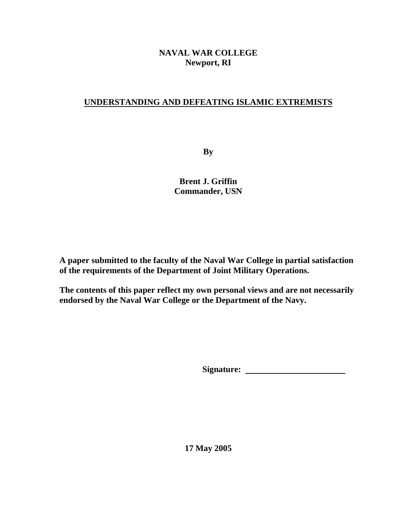# **NAVAL WAR COLLEGE Newport, RI**

# **UNDERSTANDING AND DEFEATING ISLAMIC EXTREMISTS**

**By** 

**Brent J. Griffin Commander, USN** 

**A paper submitted to the faculty of the Naval War College in partial satisfaction of the requirements of the Department of Joint Military Operations.** 

**The contents of this paper reflect my own personal views and are not necessarily endorsed by the Naval War College or the Department of the Navy.** 

 **Signature:** 

**17 May 2005**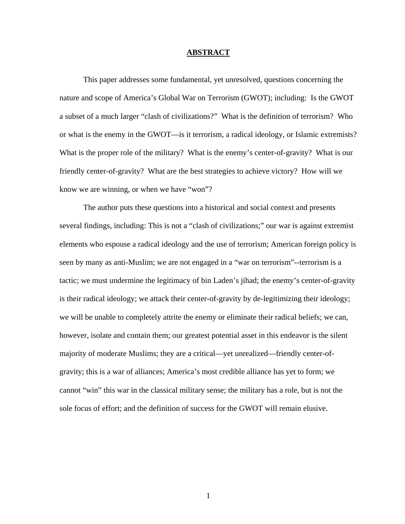#### **ABSTRACT**

This paper addresses some fundamental, yet unresolved, questions concerning the nature and scope of America's Global War on Terrorism (GWOT); including: Is the GWOT a subset of a much larger "clash of civilizations?" What is the definition of terrorism? Who or what is the enemy in the GWOT—is it terrorism, a radical ideology, or Islamic extremists? What is the proper role of the military? What is the enemy's center-of-gravity? What is our friendly center-of-gravity? What are the best strategies to achieve victory? How will we know we are winning, or when we have "won"?

The author puts these questions into a historical and social context and presents several findings, including: This is not a "clash of civilizations;" our war is against extremist elements who espouse a radical ideology and the use of terrorism; American foreign policy is seen by many as anti-Muslim; we are not engaged in a "war on terrorism"--terrorism is a tactic; we must undermine the legitimacy of bin Laden's jihad; the enemy's center-of-gravity is their radical ideology; we attack their center-of-gravity by de-legitimizing their ideology; we will be unable to completely attrite the enemy or eliminate their radical beliefs; we can, however, isolate and contain them; our greatest potential asset in this endeavor is the silent majority of moderate Muslims; they are a critical—yet unrealized—friendly center-ofgravity; this is a war of alliances; America's most credible alliance has yet to form; we cannot "win" this war in the classical military sense; the military has a role, but is not the sole focus of effort; and the definition of success for the GWOT will remain elusive.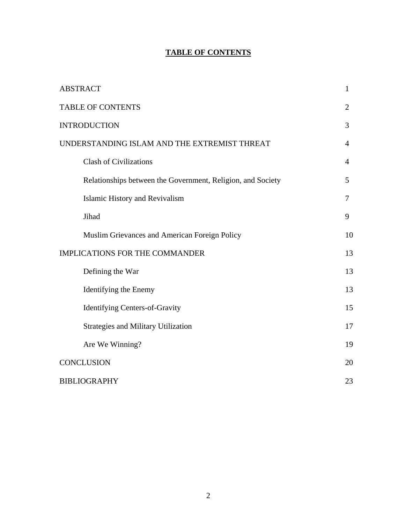# **TABLE OF CONTENTS**

| <b>ABSTRACT</b>                                             | 1  |  |  |  |
|-------------------------------------------------------------|----|--|--|--|
| <b>TABLE OF CONTENTS</b>                                    |    |  |  |  |
| <b>INTRODUCTION</b>                                         |    |  |  |  |
| UNDERSTANDING ISLAM AND THE EXTREMIST THREAT                |    |  |  |  |
| <b>Clash of Civilizations</b>                               | 4  |  |  |  |
| Relationships between the Government, Religion, and Society | 5  |  |  |  |
| Islamic History and Revivalism                              | 7  |  |  |  |
| Jihad                                                       | 9  |  |  |  |
| Muslim Grievances and American Foreign Policy               | 10 |  |  |  |
| <b>IMPLICATIONS FOR THE COMMANDER</b>                       |    |  |  |  |
| Defining the War                                            | 13 |  |  |  |
| Identifying the Enemy                                       | 13 |  |  |  |
| <b>Identifying Centers-of-Gravity</b>                       | 15 |  |  |  |
| <b>Strategies and Military Utilization</b>                  | 17 |  |  |  |
| Are We Winning?                                             | 19 |  |  |  |
| <b>CONCLUSION</b>                                           |    |  |  |  |
| <b>BIBLIOGRAPHY</b>                                         |    |  |  |  |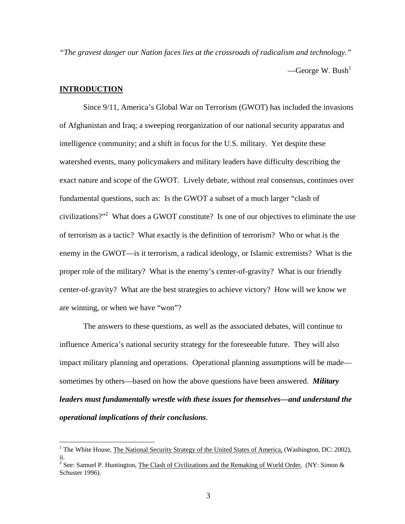*"The gravest danger our Nation faces lies at the crossroads of radicalism and technology."* —George W. Bush $<sup>1</sup>$ </sup>

## **INTRODUCTION**

Since 9/11, America's Global War on Terrorism (GWOT) has included the invasions of Afghanistan and Iraq; a sweeping reorganization of our national security apparatus and intelligence community; and a shift in focus for the U.S. military. Yet despite these watershed events, many policymakers and military leaders have difficulty describing the exact nature and scope of the GWOT. Lively debate, without real consensus, continues over fundamental questions, such as: Is the GWOT a subset of a much larger "clash of civilizations?"<sup>2</sup> What does a GWOT constitute? Is one of our objectives to eliminate the use of terrorism as a tactic? What exactly is the definition of terrorism? Who or what is the enemy in the GWOT—is it terrorism, a radical ideology, or Islamic extremists? What is the proper role of the military? What is the enemy's center-of-gravity? What is our friendly center-of-gravity? What are the best strategies to achieve victory? How will we know we are winning, or when we have "won"?

The answers to these questions, as well as the associated debates, will continue to influence America's national security strategy for the foreseeable future. They will also impact military planning and operations. Operational planning assumptions will be made sometimes by others—based on how the above questions have been answered. *Military leaders must fundamentally wrestle with these issues for themselves—and understand the operational implications of their conclusions*.

<sup>&</sup>lt;sup>1</sup> The White House, The National Security Strategy of the United States of America, (Washington, DC: 2002), ii.

<sup>&</sup>lt;sup>2</sup> See: Samuel P. Huntington, The Clash of Civilizations and the Remaking of World Order, (NY: Simon & Schuster 1996).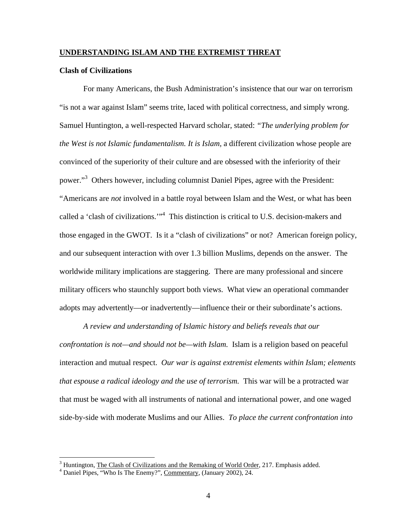### **UNDERSTANDING ISLAM AND THE EXTREMIST THREAT**

### **Clash of Civilizations**

For many Americans, the Bush Administration's insistence that our war on terrorism "is not a war against Islam" seems trite, laced with political correctness, and simply wrong. Samuel Huntington, a well-respected Harvard scholar, stated: *"The underlying problem for the West is not Islamic fundamentalism. It is Islam,* a different civilization whose people are convinced of the superiority of their culture and are obsessed with the inferiority of their power."<sup>3</sup> Others however, including columnist Daniel Pipes, agree with the President: "Americans are *not* involved in a battle royal between Islam and the West, or what has been called a 'clash of civilizations.'"4 This distinction is critical to U.S. decision-makers and those engaged in the GWOT. Is it a "clash of civilizations" or not? American foreign policy, and our subsequent interaction with over 1.3 billion Muslims, depends on the answer. The worldwide military implications are staggering. There are many professional and sincere military officers who staunchly support both views. What view an operational commander adopts may advertently—or inadvertently—influence their or their subordinate's actions.

*A review and understanding of Islamic history and beliefs reveals that our confrontation is not—and should not be—with Islam.* Islam is a religion based on peaceful interaction and mutual respect. *Our war is against extremist elements within Islam; elements that espouse a radical ideology and the use of terrorism.* This war will be a protracted war that must be waged with all instruments of national and international power, and one waged side-by-side with moderate Muslims and our Allies. *To place the current confrontation into* 

<sup>&</sup>lt;sup>3</sup> Huntington, <u>The Clash of Civilizations and the Remaking of World Order</u>, 217. Emphasis added.<br><sup>4</sup> Daniel Pipes, "Who Is The Enemy?", Commentary, (January 2002), 24.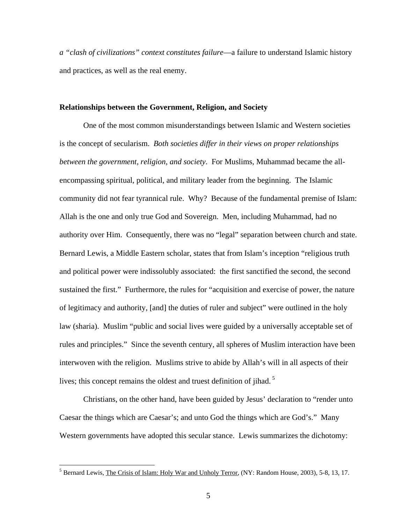*a "clash of civilizations" context constitutes failure*—a failure to understand Islamic history and practices, as well as the real enemy.

## **Relationships between the Government, Religion, and Society**

 One of the most common misunderstandings between Islamic and Western societies is the concept of secularism. *Both societies differ in their views on proper relationships between the government, religion, and society*. For Muslims, Muhammad became the allencompassing spiritual, political, and military leader from the beginning. The Islamic community did not fear tyrannical rule. Why? Because of the fundamental premise of Islam: Allah is the one and only true God and Sovereign. Men, including Muhammad, had no authority over Him. Consequently, there was no "legal" separation between church and state. Bernard Lewis, a Middle Eastern scholar, states that from Islam's inception "religious truth and political power were indissolubly associated: the first sanctified the second, the second sustained the first." Furthermore, the rules for "acquisition and exercise of power, the nature of legitimacy and authority, [and] the duties of ruler and subject" were outlined in the holy law (sharia). Muslim "public and social lives were guided by a universally acceptable set of rules and principles." Since the seventh century, all spheres of Muslim interaction have been interwoven with the religion. Muslims strive to abide by Allah's will in all aspects of their lives; this concept remains the oldest and truest definition of jihad.<sup>5</sup>

Christians, on the other hand, have been guided by Jesus' declaration to "render unto Caesar the things which are Caesar's; and unto God the things which are God's." Many Western governments have adopted this secular stance. Lewis summarizes the dichotomy:

<sup>&</sup>lt;sup>5</sup> Bernard Lewis, The Crisis of Islam: Holy War and Unholy Terror, (NY: Random House, 2003), 5-8, 13, 17.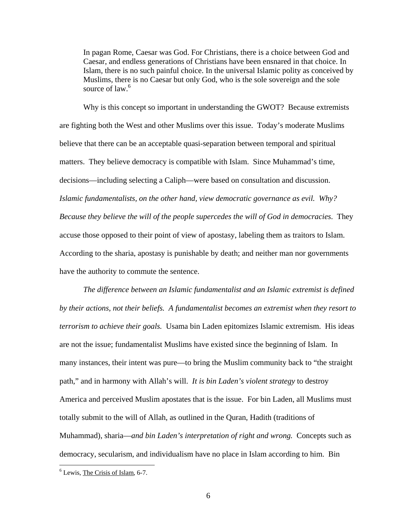In pagan Rome, Caesar was God. For Christians, there is a choice between God and Caesar, and endless generations of Christians have been ensnared in that choice. In Islam, there is no such painful choice. In the universal Islamic polity as conceived by Muslims, there is no Caesar but only God, who is the sole sovereign and the sole source of law.<sup>6</sup>

Why is this concept so important in understanding the GWOT? Because extremists are fighting both the West and other Muslims over this issue. Today's moderate Muslims believe that there can be an acceptable quasi-separation between temporal and spiritual matters. They believe democracy is compatible with Islam. Since Muhammad's time, decisions—including selecting a Caliph—were based on consultation and discussion. *Islamic fundamentalists, on the other hand, view democratic governance as evil. Why? Because they believe the will of the people supercedes the will of God in democracies*. They accuse those opposed to their point of view of apostasy, labeling them as traitors to Islam. According to the sharia, apostasy is punishable by death; and neither man nor governments have the authority to commute the sentence.

*The difference between an Islamic fundamentalist and an Islamic extremist is defined by their actions, not their beliefs. A fundamentalist becomes an extremist when they resort to terrorism to achieve their goals.* Usama bin Laden epitomizes Islamic extremism. His ideas are not the issue; fundamentalist Muslims have existed since the beginning of Islam. In many instances, their intent was pure—to bring the Muslim community back to "the straight path," and in harmony with Allah's will. *It is bin Laden's violent strategy* to destroy America and perceived Muslim apostates that is the issue. For bin Laden, all Muslims must totally submit to the will of Allah, as outlined in the Quran, Hadith (traditions of Muhammad), sharia—*and bin Laden's interpretation of right and wrong.* Concepts such as democracy, secularism, and individualism have no place in Islam according to him. Bin

<sup>&</sup>lt;sup>6</sup> Lewis, The Crisis of Islam, 6-7.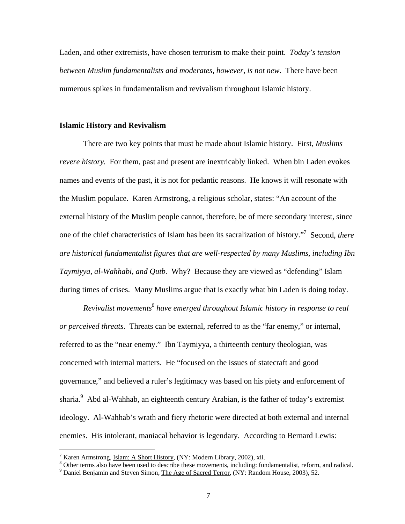Laden, and other extremists, have chosen terrorism to make their point. *Today's tension between Muslim fundamentalists and moderates, however, is not new*. There have been numerous spikes in fundamentalism and revivalism throughout Islamic history.

## **Islamic History and Revivalism**

There are two key points that must be made about Islamic history. First, *Muslims revere history.* For them, past and present are inextricably linked. When bin Laden evokes names and events of the past, it is not for pedantic reasons. He knows it will resonate with the Muslim populace. Karen Armstrong, a religious scholar, states: "An account of the external history of the Muslim people cannot, therefore, be of mere secondary interest, since one of the chief characteristics of Islam has been its sacralization of history."7 Second, *there are historical fundamentalist figures that are well-respected by many Muslims, including Ibn Taymiyya, al-Wahhabi, and Qutb.* Why? Because they are viewed as "defending" Islam during times of crises. Many Muslims argue that is exactly what bin Laden is doing today.

Revivalist movements<sup>8</sup> have emerged throughout Islamic history in response to real *or perceived threats*. Threats can be external, referred to as the "far enemy," or internal, referred to as the "near enemy." Ibn Taymiyya, a thirteenth century theologian, was concerned with internal matters. He "focused on the issues of statecraft and good governance," and believed a ruler's legitimacy was based on his piety and enforcement of sharia.<sup>9</sup> Abd al-Wahhab, an eighteenth century Arabian, is the father of today's extremist ideology. Al-Wahhab's wrath and fiery rhetoric were directed at both external and internal enemies. His intolerant, maniacal behavior is legendary. According to Bernard Lewis:

<sup>&</sup>lt;sup>7</sup> Karen Armstrong, <u>Islam: A Short History</u>, (NY: Modern Library, 2002), xii.  $8$  Other terms also have been used to describe these movements, including fun

<sup>&</sup>lt;sup>8</sup> Other terms also have been used to describe these movements, including: fundamentalist, reform, and radical.

 $9$  Daniel Benjamin and Steven Simon, The Age of Sacred Terror, (NY: Random House, 2003), 52.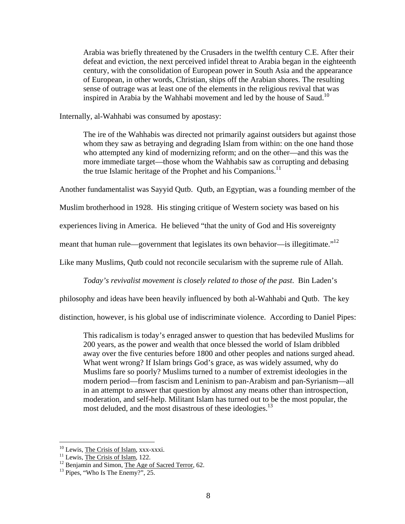Arabia was briefly threatened by the Crusaders in the twelfth century C.E. After their defeat and eviction, the next perceived infidel threat to Arabia began in the eighteenth century, with the consolidation of European power in South Asia and the appearance of European, in other words, Christian, ships off the Arabian shores. The resulting sense of outrage was at least one of the elements in the religious revival that was inspired in Arabia by the Wahhabi movement and led by the house of Saud.<sup>10</sup>

Internally, al-Wahhabi was consumed by apostasy:

The ire of the Wahhabis was directed not primarily against outsiders but against those whom they saw as betraying and degrading Islam from within: on the one hand those who attempted any kind of modernizing reform; and on the other—and this was the more immediate target—those whom the Wahhabis saw as corrupting and debasing the true Islamic heritage of the Prophet and his Companions. $11$ 

Another fundamentalist was Sayyid Qutb. Qutb, an Egyptian, was a founding member of the

Muslim brotherhood in 1928. His stinging critique of Western society was based on his

experiences living in America. He believed "that the unity of God and His sovereignty

meant that human rule—government that legislates its own behavior—is illegitimate."<sup>12</sup>

Like many Muslims, Qutb could not reconcile secularism with the supreme rule of Allah.

*Today's revivalist movement is closely related to those of the past*. Bin Laden's

philosophy and ideas have been heavily influenced by both al-Wahhabi and Qutb. The key

distinction, however, is his global use of indiscriminate violence. According to Daniel Pipes:

This radicalism is today's enraged answer to question that has bedeviled Muslims for 200 years, as the power and wealth that once blessed the world of Islam dribbled away over the five centuries before 1800 and other peoples and nations surged ahead. What went wrong? If Islam brings God's grace, as was widely assumed, why do Muslims fare so poorly? Muslims turned to a number of extremist ideologies in the modern period—from fascism and Leninism to pan-Arabism and pan-Syrianism—all in an attempt to answer that question by almost any means other than introspection, moderation, and self-help. Militant Islam has turned out to be the most popular, the most deluded, and the most disastrous of these ideologies.<sup>13</sup>

<sup>&</sup>lt;sup>10</sup> Lewis, <u>The Crisis of Islam</u>, xxx-xxxi.<br><sup>11</sup> Lewis, <u>The Crisis of Islam</u>, 122.<br><sup>12</sup> Benjamin and Simon, <u>The Age of Sacred Terror</u>, 62.<br><sup>13</sup> Pipes, "Who Is The Enemy?", 25.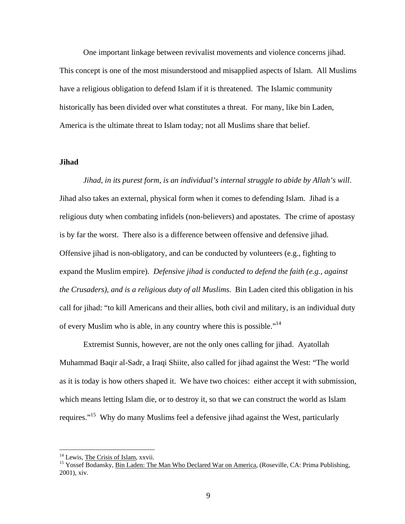One important linkage between revivalist movements and violence concerns jihad. This concept is one of the most misunderstood and misapplied aspects of Islam. All Muslims have a religious obligation to defend Islam if it is threatened. The Islamic community historically has been divided over what constitutes a threat. For many, like bin Laden, America is the ultimate threat to Islam today; not all Muslims share that belief.

### **Jihad**

*Jihad, in its purest form, is an individual's internal struggle to abide by Allah's will*. Jihad also takes an external, physical form when it comes to defending Islam. Jihad is a religious duty when combating infidels (non-believers) and apostates. The crime of apostasy is by far the worst. There also is a difference between offensive and defensive jihad. Offensive jihad is non-obligatory, and can be conducted by volunteers (e.g., fighting to expand the Muslim empire). *Defensive jihad is conducted to defend the faith (e.g., against the Crusaders), and is a religious duty of all Muslims*. Bin Laden cited this obligation in his call for jihad: "to kill Americans and their allies, both civil and military, is an individual duty of every Muslim who is able, in any country where this is possible."14

Extremist Sunnis, however, are not the only ones calling for jihad. Ayatollah Muhammad Baqir al-Sadr, a Iraqi Shiite, also called for jihad against the West: "The world as it is today is how others shaped it. We have two choices: either accept it with submission, which means letting Islam die, or to destroy it, so that we can construct the world as Islam requires."15 Why do many Muslims feel a defensive jihad against the West, particularly

<sup>&</sup>lt;sup>14</sup> Lewis, The Crisis of Islam, xxvii.<br><sup>15</sup> Yossef Bodansky, Bin Laden: The Man Who Declared War on America, (Roseville, CA: Prima Publishing, 2001), xiv.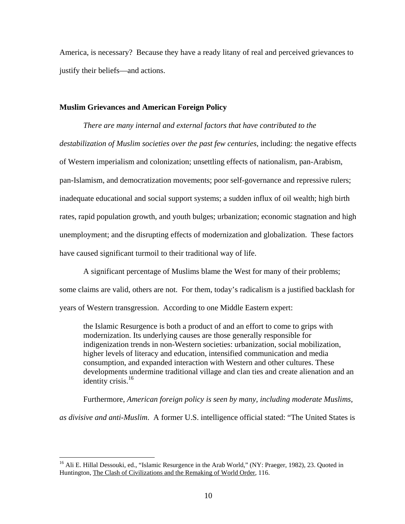America, is necessary? Because they have a ready litany of real and perceived grievances to justify their beliefs—and actions.

## **Muslim Grievances and American Foreign Policy**

*There are many internal and external factors that have contributed to the destabilization of Muslim societies over the past few centuries*, including: the negative effects of Western imperialism and colonization; unsettling effects of nationalism, pan-Arabism, pan-Islamism, and democratization movements; poor self-governance and repressive rulers; inadequate educational and social support systems; a sudden influx of oil wealth; high birth rates, rapid population growth, and youth bulges; urbanization; economic stagnation and high unemployment; and the disrupting effects of modernization and globalization. These factors have caused significant turmoil to their traditional way of life.

A significant percentage of Muslims blame the West for many of their problems; some claims are valid, others are not. For them, today's radicalism is a justified backlash for years of Western transgression. According to one Middle Eastern expert:

the Islamic Resurgence is both a product of and an effort to come to grips with modernization. Its underlying causes are those generally responsible for indigenization trends in non-Western societies: urbanization, social mobilization, higher levels of literacy and education, intensified communication and media consumption, and expanded interaction with Western and other cultures. These developments undermine traditional village and clan ties and create alienation and an identity crisis. $16$ 

Furthermore, *American foreign policy is seen by many, including moderate Muslims,* 

*as divisive and anti-Muslim*. A former U.S. intelligence official stated: "The United States is

<sup>&</sup>lt;sup>16</sup> Ali E. Hillal Dessouki, ed., "Islamic Resurgence in the Arab World," (NY: Praeger, 1982), 23. Quoted in Huntington, The Clash of Civilizations and the Remaking of World Order, 116.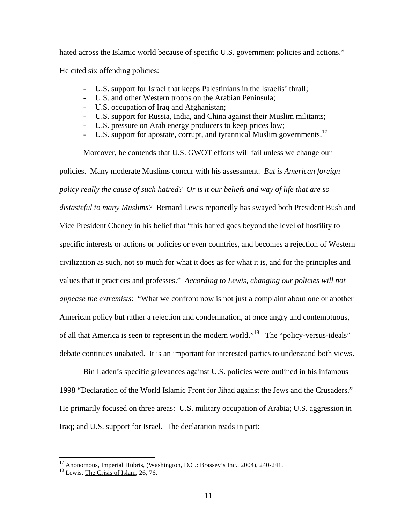hated across the Islamic world because of specific U.S. government policies and actions."

He cited six offending policies:

- U.S. support for Israel that keeps Palestinians in the Israelis' thrall;
- U.S. and other Western troops on the Arabian Peninsula;
- U.S. occupation of Iraq and Afghanistan;
- U.S. support for Russia, India, and China against their Muslim militants;
- U.S. pressure on Arab energy producers to keep prices low;
- U.S. support for apostate, corrupt, and tyrannical Muslim governments.<sup>17</sup>

Moreover, he contends that U.S. GWOT efforts will fail unless we change our policies. Many moderate Muslims concur with his assessment. *But is American foreign policy really the cause of such hatred? Or is it our beliefs and way of life that are so distasteful to many Muslims?* Bernard Lewis reportedly has swayed both President Bush and Vice President Cheney in his belief that "this hatred goes beyond the level of hostility to specific interests or actions or policies or even countries, and becomes a rejection of Western civilization as such, not so much for what it does as for what it is, and for the principles and values that it practices and professes." *According to Lewis, changing our policies will not appease the extremists*: "What we confront now is not just a complaint about one or another American policy but rather a rejection and condemnation, at once angry and contemptuous, of all that America is seen to represent in the modern world."<sup>18</sup> The "policy-versus-ideals" debate continues unabated. It is an important for interested parties to understand both views.

Bin Laden's specific grievances against U.S. policies were outlined in his infamous 1998 "Declaration of the World Islamic Front for Jihad against the Jews and the Crusaders." He primarily focused on three areas: U.S. military occupation of Arabia; U.S. aggression in Iraq; and U.S. support for Israel. The declaration reads in part:

<sup>&</sup>lt;sup>17</sup> Anonomous, <u>Imperial Hubris</u>, (Washington, D.C.: Brassey's Inc., 2004), 240-241.<br><sup>18</sup> Lewis, <u>The Crisis of Islam</u>, 26, 76.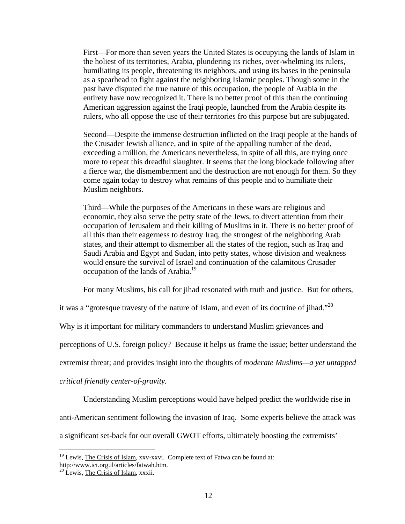First—For more than seven years the United States is occupying the lands of Islam in the holiest of its territories, Arabia, plundering its riches, over-whelming its rulers, humiliating its people, threatening its neighbors, and using its bases in the peninsula as a spearhead to fight against the neighboring Islamic peoples. Though some in the past have disputed the true nature of this occupation, the people of Arabia in the entirety have now recognized it. There is no better proof of this than the continuing American aggression against the Iraqi people, launched from the Arabia despite its rulers, who all oppose the use of their territories fro this purpose but are subjugated.

Second—Despite the immense destruction inflicted on the Iraqi people at the hands of the Crusader Jewish alliance, and in spite of the appalling number of the dead, exceeding a million, the Americans nevertheless, in spite of all this, are trying once more to repeat this dreadful slaughter. It seems that the long blockade following after a fierce war, the dismemberment and the destruction are not enough for them. So they come again today to destroy what remains of this people and to humiliate their Muslim neighbors.

Third—While the purposes of the Americans in these wars are religious and economic, they also serve the petty state of the Jews, to divert attention from their occupation of Jerusalem and their killing of Muslims in it. There is no better proof of all this than their eagerness to destroy Iraq, the strongest of the neighboring Arab states, and their attempt to dismember all the states of the region, such as Iraq and Saudi Arabia and Egypt and Sudan, into petty states, whose division and weakness would ensure the survival of Israel and continuation of the calamitous Crusader occupation of the lands of Arabia.<sup>19</sup>

For many Muslims, his call for jihad resonated with truth and justice. But for others,

it was a "grotesque travesty of the nature of Islam, and even of its doctrine of jihad."<sup>20</sup>

Why is it important for military commanders to understand Muslim grievances and

perceptions of U.S. foreign policy? Because it helps us frame the issue; better understand the

extremist threat; and provides insight into the thoughts of *moderate Muslims—a yet untapped* 

*critical friendly center-of-gravity.*

Understanding Muslim perceptions would have helped predict the worldwide rise in anti-American sentiment following the invasion of Iraq. Some experts believe the attack was a significant set-back for our overall GWOT efforts, ultimately boosting the extremists'

 $19$  Lewis, The Crisis of Islam, xxv-xxvi. Complete text of Fatwa can be found at: http://www.ict.org.il/articles/fatwah.htm.<br><sup>20</sup> Lewis, The Crisis of Islam, xxxii.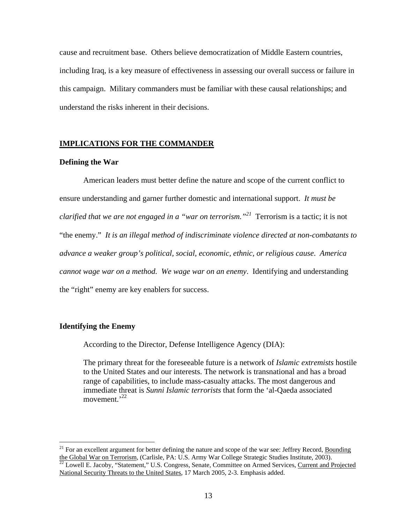cause and recruitment base. Others believe democratization of Middle Eastern countries, including Iraq, is a key measure of effectiveness in assessing our overall success or failure in this campaign. Military commanders must be familiar with these causal relationships; and understand the risks inherent in their decisions.

## **IMPLICATIONS FOR THE COMMANDER**

## **Defining the War**

American leaders must better define the nature and scope of the current conflict to ensure understanding and garner further domestic and international support. *It must be clarified that we are not engaged in a "war on terrorism."<sup>21</sup>* Terrorism is a tactic; it is not "the enemy." *It is an illegal method of indiscriminate violence directed at non-combatants to advance a weaker group's political, social, economic, ethnic, or religious cause*. *America cannot wage war on a method. We wage war on an enemy*. Identifying and understanding the "right" enemy are key enablers for success.

## **Identifying the Enemy**

<u>.</u>

According to the Director, Defense Intelligence Agency (DIA):

The primary threat for the foreseeable future is a network of *Islamic extremists* hostile to the United States and our interests. The network is transnational and has a broad range of capabilities, to include mass-casualty attacks. The most dangerous and immediate threat is *Sunni Islamic terrorists* that form the 'al-Qaeda associated movement.<sup>22</sup>

<sup>&</sup>lt;sup>21</sup> For an excellent argument for better defining the nature and scope of the war see: Jeffrey Record, **Bounding** the Global War on Terrorism, (Carlisle, PA: U.S. Army War College Strategic Studies Institute, 2003).<br><sup>22</sup> Lowell E. Jacoby, "Statement," U.S. Congress, Senate, Committee on Armed Services, <u>Current and Projected</u> National Security Threats to the United States, 17 March 2005, 2-3. Emphasis added.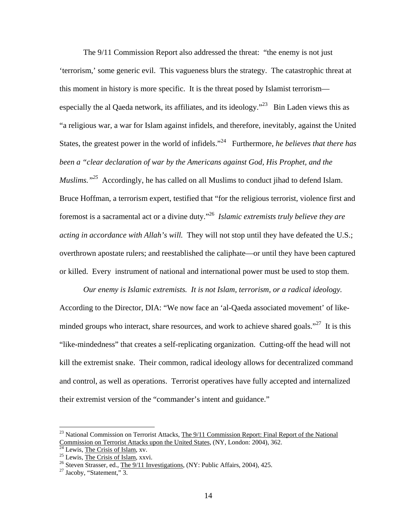The 9/11 Commission Report also addressed the threat: "the enemy is not just 'terrorism,' some generic evil. This vagueness blurs the strategy. The catastrophic threat at this moment in history is more specific. It is the threat posed by Islamist terrorism especially the al Qaeda network, its affiliates, and its ideology."<sup>23</sup> Bin Laden views this as "a religious war, a war for Islam against infidels, and therefore, inevitably, against the United States, the greatest power in the world of infidels."24 Furthermore, *he believes that there has been a "clear declaration of war by the Americans against God, His Prophet, and the Muslims.*"<sup>25</sup> Accordingly, he has called on all Muslims to conduct jihad to defend Islam. Bruce Hoffman, a terrorism expert, testified that "for the religious terrorist, violence first and foremost is a sacramental act or a divine duty."26 *Islamic extremists truly believe they are acting in accordance with Allah's will.* They will not stop until they have defeated the U.S.; overthrown apostate rulers; and reestablished the caliphate—or until they have been captured or killed. Every instrument of national and international power must be used to stop them.

*Our enemy is Islamic extremists. It is not Islam, terrorism, or a radical ideology.*  According to the Director, DIA: "We now face an 'al-Qaeda associated movement' of likeminded groups who interact, share resources, and work to achieve shared goals."<sup>27</sup> It is this "like-mindedness" that creates a self-replicating organization. Cutting-off the head will not kill the extremist snake. Their common, radical ideology allows for decentralized command and control, as well as operations. Terrorist operatives have fully accepted and internalized their extremist version of the "commander's intent and guidance."

 $^{23}$  National Commission on Terrorist Attacks, The  $9/11$  Commission Report: Final Report of the National Commission on Terrorist Attacks upon the United States, (NY, London: 2004), 362.<br><sup>24</sup> Lewis, <u>The Crisis of Islam</u>, xv.<br><sup>25</sup> Lewis, <u>The Crisis of Islam</u>, xxvi.<br><sup>26</sup> Steven Strasser, ed., <u>The 9/11 Investigations</u>, (NY: P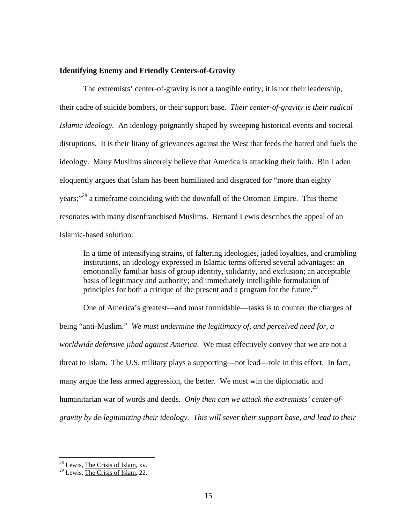## **Identifying Enemy and Friendly Centers-of-Gravity**

The extremists' center-of-gravity is not a tangible entity; it is not their leadership, their cadre of suicide bombers, or their support base. *Their center-of-gravity is their radical Islamic ideology.* An ideology poignantly shaped by sweeping historical events and societal disruptions. It is their litany of grievances against the West that feeds the hatred and fuels the ideology. Many Muslims sincerely believe that America is attacking their faith. Bin Laden eloquently argues that Islam has been humiliated and disgraced for "more than eighty years;"<sup>28</sup> a timeframe coinciding with the downfall of the Ottoman Empire. This theme resonates with many disenfranchised Muslims. Bernard Lewis describes the appeal of an Islamic-based solution:

In a time of intensifying strains, of faltering ideologies, jaded loyalties, and crumbling institutions, an ideology expressed in Islamic terms offered several advantages: an emotionally familiar basis of group identity, solidarity, and exclusion; an acceptable basis of legitimacy and authority; and immediately intelligible formulation of principles for both a critique of the present and a program for the future.<sup>29</sup>

One of America's greatest—and most formidable—tasks is to counter the charges of being "anti-Muslim." *We must undermine the legitimacy of, and perceived need for, a worldwide defensive jihad against America*. We must effectively convey that we are not a threat to Islam. The U.S. military plays a supporting—not lead—role in this effort. In fact, many argue the less armed aggression, the better. We must win the diplomatic and humanitarian war of words and deeds. *Only then can we attack the extremists' center-ofgravity by de-legitimizing their ideology. This will sever their support base, and lead to their* 

<sup>&</sup>lt;sup>28</sup> Lewis, The Crisis of Islam, xv.

<sup>29</sup> Lewis, The Crisis of Islam, 22.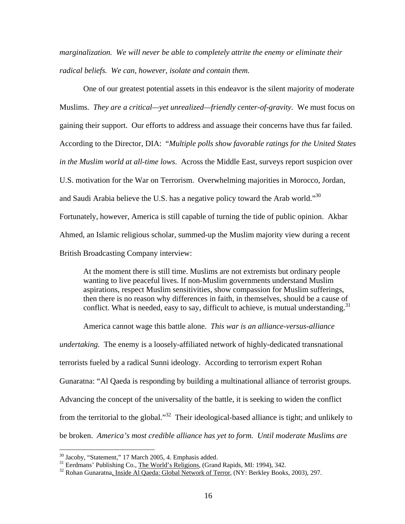*marginalization. We will never be able to completely attrite the enemy or eliminate their radical beliefs. We can, however, isolate and contain them.* 

One of our greatest potential assets in this endeavor is the silent majority of moderate Muslims. *They are a critical—yet unrealized—friendly center-of-gravity.* We must focus on gaining their support. Our efforts to address and assuage their concerns have thus far failed. According to the Director, DIA: "*Multiple polls show favorable ratings for the United States in the Muslim world at all-time lows*.Across the Middle East, surveys report suspicion over U.S. motivation for the War on Terrorism. Overwhelming majorities in Morocco, Jordan, and Saudi Arabia believe the U.S. has a negative policy toward the Arab world."30 Fortunately, however, America is still capable of turning the tide of public opinion. Akbar Ahmed, an Islamic religious scholar, summed-up the Muslim majority view during a recent British Broadcasting Company interview:

At the moment there is still time. Muslims are not extremists but ordinary people wanting to live peaceful lives. If non-Muslim governments understand Muslim aspirations, respect Muslim sensitivities, show compassion for Muslim sufferings, then there is no reason why differences in faith, in themselves, should be a cause of conflict. What is needed, easy to say, difficult to achieve, is mutual understanding.<sup>31</sup>

America cannot wage this battle alone. *This war is an alliance-versus-alliance undertaking.* The enemy is a loosely-affiliated network of highly-dedicated transnational terrorists fueled by a radical Sunni ideology. According to terrorism expert Rohan Gunaratna: "Al Qaeda is responding by building a multinational alliance of terrorist groups. Advancing the concept of the universality of the battle, it is seeking to widen the conflict from the territorial to the global."32 Their ideological-based alliance is tight; and unlikely to be broken. *America's most credible alliance has yet to form. Until moderate Muslims are* 

 $30$  Jacoby, "Statement," 17 March 2005, 4. Emphasis added.<br> $31$  Eerdmans' Publishing Co., The World's Religions, (Grand Rapids, MI: 1994), 342.

 $32$  Rohan Gunaratna, Inside Al Qaeda: Global Network of Terror, (NY: Berkley Books, 2003), 297.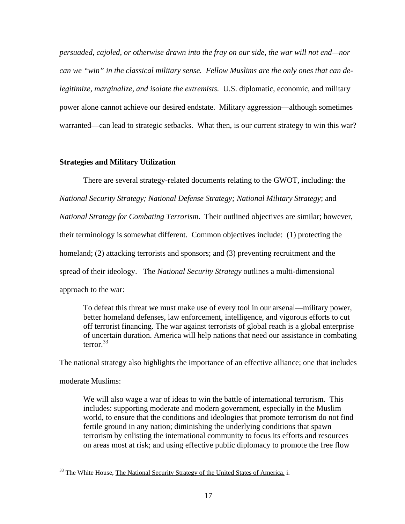*persuaded, cajoled, or otherwise drawn into the fray on our side, the war will not end—nor can we "win" in the classical military sense. Fellow Muslims are the only ones that can delegitimize, marginalize, and isolate the extremists.* U.S. diplomatic, economic, and military power alone cannot achieve our desired endstate. Military aggression—although sometimes warranted—can lead to strategic setbacks. What then, is our current strategy to win this war?

## **Strategies and Military Utilization**

There are several strategy-related documents relating to the GWOT, including: the *National Security Strategy; National Defense Strategy; National Military Strategy*; and *National Strategy for Combating Terrorism*. Their outlined objectives are similar; however, their terminology is somewhat different. Common objectives include: (1) protecting the homeland; (2) attacking terrorists and sponsors; and (3) preventing recruitment and the spread of their ideology. The *National Security Strategy* outlines a multi-dimensional approach to the war:

To defeat this threat we must make use of every tool in our arsenal—military power, better homeland defenses, law enforcement, intelligence, and vigorous efforts to cut off terrorist financing. The war against terrorists of global reach is a global enterprise of uncertain duration. America will help nations that need our assistance in combating  $t$ error. $33$ 

The national strategy also highlights the importance of an effective alliance; one that includes

moderate Muslims:

 $\overline{a}$ 

We will also wage a war of ideas to win the battle of international terrorism. This includes: supporting moderate and modern government, especially in the Muslim world, to ensure that the conditions and ideologies that promote terrorism do not find fertile ground in any nation; diminishing the underlying conditions that spawn terrorism by enlisting the international community to focus its efforts and resources on areas most at risk; and using effective public diplomacy to promote the free flow

<sup>&</sup>lt;sup>33</sup> The White House, The National Security Strategy of the United States of America, i.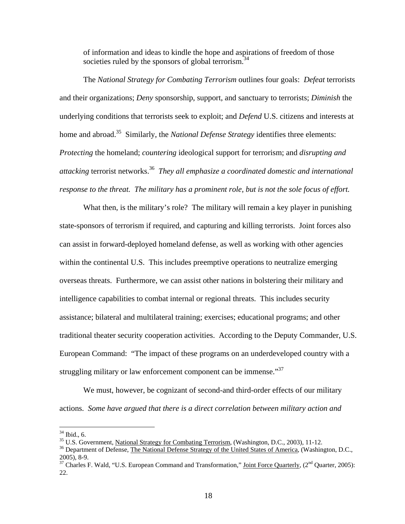of information and ideas to kindle the hope and aspirations of freedom of those societies ruled by the sponsors of global terrorism.<sup>34</sup>

The *National Strategy for Combating Terrorism* outlines four goals: *Defeat* terrorists and their organizations; *Deny* sponsorship, support, and sanctuary to terrorists; *Diminish* the underlying conditions that terrorists seek to exploit; and *Defend* U.S. citizens and interests at home and abroad.35 Similarly, the *National Defense Strategy* identifies three elements: *Protecting* the homeland; *countering* ideological support for terrorism; and *disrupting and attacking* terrorist networks.36 *They all emphasize a coordinated domestic and international response to the threat. The military has a prominent role, but is not the sole focus of effort.* 

What then, is the military's role? The military will remain a key player in punishing state-sponsors of terrorism if required, and capturing and killing terrorists. Joint forces also can assist in forward-deployed homeland defense, as well as working with other agencies within the continental U.S. This includes preemptive operations to neutralize emerging overseas threats. Furthermore, we can assist other nations in bolstering their military and intelligence capabilities to combat internal or regional threats. This includes security assistance; bilateral and multilateral training; exercises; educational programs; and other traditional theater security cooperation activities. According to the Deputy Commander, U.S. European Command: "The impact of these programs on an underdeveloped country with a struggling military or law enforcement component can be immense.<sup>37</sup>

We must, however, be cognizant of second-and third-order effects of our military actions. *Some have argued that there is a direct correlation between military action and* 

 $34$  Ibid., 6.

<sup>&</sup>lt;sup>35</sup> U.S. Government, <u>National Strategy for Combating Terrorism</u>, (Washington, D.C., 2003), 11-12.<br><sup>36</sup> Department of Defense, The National Defense Strategy of the United States of America, (Washington, D.C.,

<sup>2005), 8-9.</sup> 

 $37$  Charles F. Wald, "U.S. European Command and Transformation," Joint Force Quarterly,  $(2<sup>nd</sup>$  Quarter, 2005): 22.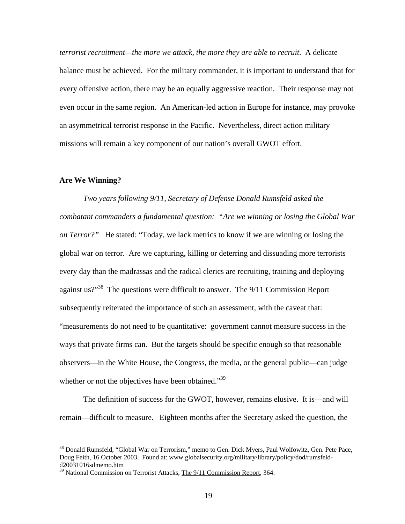*terrorist recruitment—the more we attack, the more they are able to recruit*. A delicate balance must be achieved. For the military commander, it is important to understand that for every offensive action, there may be an equally aggressive reaction. Their response may not even occur in the same region. An American-led action in Europe for instance, may provoke an asymmetrical terrorist response in the Pacific. Nevertheless, direct action military missions will remain a key component of our nation's overall GWOT effort.

## **Are We Winning?**

 $\overline{a}$ 

*Two years following 9/11, Secretary of Defense Donald Rumsfeld asked the combatant commanders a fundamental question: "Are we winning or losing the Global War on Terror?"* He stated: "Today, we lack metrics to know if we are winning or losing the global war on terror. Are we capturing, killing or deterring and dissuading more terrorists every day than the madrassas and the radical clerics are recruiting, training and deploying against us?"<sup>38</sup> The questions were difficult to answer. The  $9/11$  Commission Report subsequently reiterated the importance of such an assessment, with the caveat that: "measurements do not need to be quantitative: government cannot measure success in the ways that private firms can. But the targets should be specific enough so that reasonable observers—in the White House, the Congress, the media, or the general public—can judge whether or not the objectives have been obtained."<sup>39</sup>

The definition of success for the GWOT, however, remains elusive. It is—and will remain—difficult to measure. Eighteen months after the Secretary asked the question, the

<sup>&</sup>lt;sup>38</sup> Donald Rumsfeld, "Global War on Terrorism," memo to Gen. Dick Myers, Paul Wolfowitz, Gen. Pete Pace, Doug Feith, 16 October 2003. Found at: www.globalsecurity.org/military/library/policy/dod/rumsfeldd20031016sdmemo.htm

<sup>&</sup>lt;sup>39</sup> National Commission on Terrorist Attacks, The 9/11 Commission Report, 364.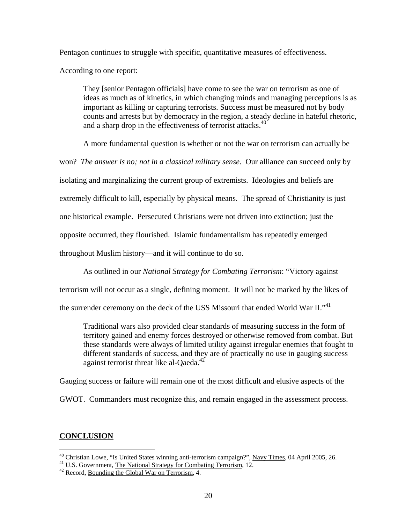Pentagon continues to struggle with specific, quantitative measures of effectiveness.

According to one report:

They [senior Pentagon officials] have come to see the war on terrorism as one of ideas as much as of kinetics, in which changing minds and managing perceptions is as important as killing or capturing terrorists. Success must be measured not by body counts and arrests but by democracy in the region, a steady decline in hateful rhetoric, and a sharp drop in the effectiveness of terrorist attacks.<sup>40</sup>

A more fundamental question is whether or not the war on terrorism can actually be

won? *The answer is no; not in a classical military sense*. Our alliance can succeed only by

isolating and marginalizing the current group of extremists. Ideologies and beliefs are

extremely difficult to kill, especially by physical means. The spread of Christianity is just

one historical example. Persecuted Christians were not driven into extinction; just the

opposite occurred, they flourished. Islamic fundamentalism has repeatedly emerged

throughout Muslim history—and it will continue to do so.

As outlined in our *National Strategy for Combating Terrorism*: "Victory against

terrorism will not occur as a single, defining moment. It will not be marked by the likes of

the surrender ceremony on the deck of the USS Missouri that ended World War II."<sup>41</sup>

Traditional wars also provided clear standards of measuring success in the form of territory gained and enemy forces destroyed or otherwise removed from combat. But these standards were always of limited utility against irregular enemies that fought to different standards of success, and they are of practically no use in gauging success against terrorist threat like al-Qaeda.<sup>42</sup>

Gauging success or failure will remain one of the most difficult and elusive aspects of the

GWOT. Commanders must recognize this, and remain engaged in the assessment process.

## **CONCLUSION**

<sup>&</sup>lt;sup>40</sup> Christian Lowe, "Is United States winning anti-terrorism campaign?", <u>Navy Times</u>, 04 April 2005, 26.<br><sup>41</sup> U.S. Government, <u>The National Strategy for Combating Terrorism</u>, 12.<br><sup>42</sup> Record, Bounding the Global War on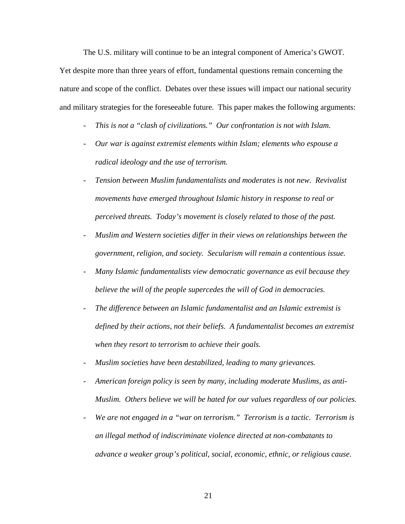The U.S. military will continue to be an integral component of America's GWOT. Yet despite more than three years of effort, fundamental questions remain concerning the nature and scope of the conflict. Debates over these issues will impact our national security and military strategies for the foreseeable future. This paper makes the following arguments:

- This is not a "clash of civilizations." Our confrontation is not with Islam.
- *Our war is against extremist elements within Islam; elements who espouse a radical ideology and the use of terrorism.*
- *Tension between Muslim fundamentalists and moderates is not new. Revivalist movements have emerged throughout Islamic history in response to real or perceived threats. Today's movement is closely related to those of the past.*
- *Muslim and Western societies differ in their views on relationships between the government, religion, and society. Secularism will remain a contentious issue.*
- *Many Islamic fundamentalists view democratic governance as evil because they believe the will of the people supercedes the will of God in democracies.*
- The difference between an Islamic fundamentalist and an Islamic extremist is *defined by their actions, not their beliefs. A fundamentalist becomes an extremist when they resort to terrorism to achieve their goals.*
- *Muslim societies have been destabilized, leading to many grievances.*
- *American foreign policy is seen by many, including moderate Muslims, as anti-Muslim. Others believe we will be hated for our values regardless of our policies.*
- We are not engaged in a "war on terrorism." Terrorism is a tactic. Terrorism is *an illegal method of indiscriminate violence directed at non-combatants to advance a weaker group's political, social, economic, ethnic, or religious cause*.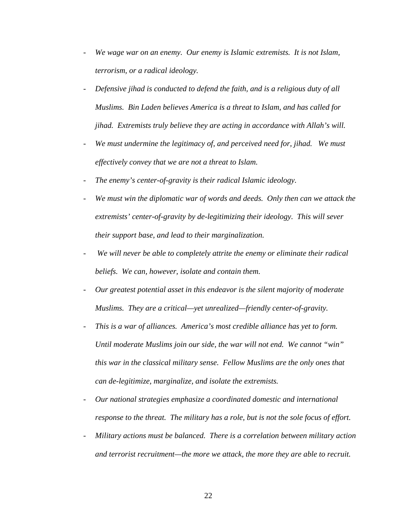- *We wage war on an enemy. Our enemy is Islamic extremists. It is not Islam, terrorism, or a radical ideology.*
- *Defensive jihad is conducted to defend the faith, and is a religious duty of all Muslims. Bin Laden believes America is a threat to Islam, and has called for jihad. Extremists truly believe they are acting in accordance with Allah's will.*
- *We must undermine the legitimacy of, and perceived need for, jihad. We must effectively convey that we are not a threat to Islam.*
- The enemy's center-of-gravity is their radical Islamic ideology.
- *We must win the diplomatic war of words and deeds. Only then can we attack the extremists' center-of-gravity by de-legitimizing their ideology. This will sever their support base, and lead to their marginalization.*
- - *We will never be able to completely attrite the enemy or eliminate their radical beliefs. We can, however, isolate and contain them.*
- *Our greatest potential asset in this endeavor is the silent majority of moderate Muslims. They are a critical—yet unrealized—friendly center-of-gravity.*
- *This is a war of alliances. America's most credible alliance has yet to form. Until moderate Muslims join our side, the war will not end. We cannot "win" this war in the classical military sense. Fellow Muslims are the only ones that can de-legitimize, marginalize, and isolate the extremists.*
- *Our national strategies emphasize a coordinated domestic and international response to the threat. The military has a role, but is not the sole focus of effort.*
- *Military actions must be balanced. There is a correlation between military action and terrorist recruitment—the more we attack, the more they are able to recruit.*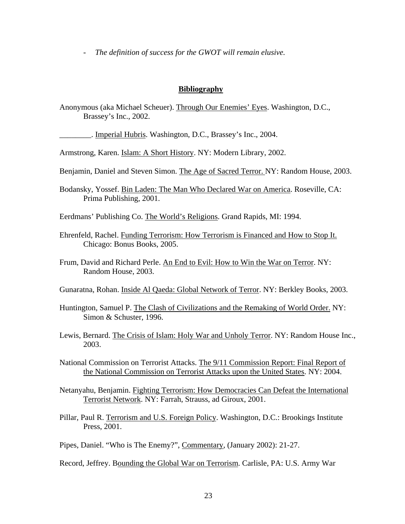- *The definition of success for the GWOT will remain elusive.* 

## **Bibliography**

- Anonymous (aka Michael Scheuer). Through Our Enemies' Eyes. Washington, D.C., Brassey's Inc., 2002.
	- \_\_\_\_\_\_\_\_. Imperial Hubris. Washington, D.C., Brassey's Inc., 2004.
- Armstrong, Karen. Islam: A Short History. NY: Modern Library, 2002.
- Benjamin, Daniel and Steven Simon. The Age of Sacred Terror. NY: Random House, 2003.
- Bodansky, Yossef. Bin Laden: The Man Who Declared War on America. Roseville, CA: Prima Publishing, 2001.
- Eerdmans' Publishing Co. The World's Religions. Grand Rapids, MI: 1994.
- Ehrenfeld, Rachel. Funding Terrorism: How Terrorism is Financed and How to Stop It. Chicago: Bonus Books, 2005.
- Frum, David and Richard Perle. An End to Evil: How to Win the War on Terror. NY: Random House, 2003.
- Gunaratna, Rohan. Inside Al Qaeda: Global Network of Terror. NY: Berkley Books, 2003.
- Huntington, Samuel P. The Clash of Civilizations and the Remaking of World Order. NY: Simon & Schuster, 1996.
- Lewis, Bernard. The Crisis of Islam: Holy War and Unholy Terror. NY: Random House Inc., 2003.
- National Commission on Terrorist Attacks. The 9/11 Commission Report: Final Report of the National Commission on Terrorist Attacks upon the United States. NY: 2004.
- Netanyahu, Benjamin. Fighting Terrorism: How Democracies Can Defeat the International Terrorist Network. NY: Farrah, Strauss, ad Giroux, 2001.
- Pillar, Paul R. Terrorism and U.S. Foreign Policy. Washington, D.C.: Brookings Institute Press, 2001.
- Pipes, Daniel. "Who is The Enemy?", Commentary, (January 2002): 21-27.
- Record, Jeffrey. Bounding the Global War on Terrorism. Carlisle, PA: U.S. Army War